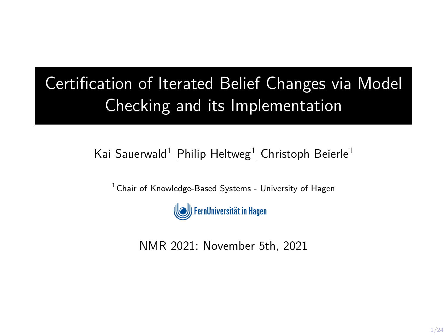# Certification of Iterated Belief Changes via Model Checking and its Implementation

#### Kai Sauerwald<sup>1</sup> Philip Heltweg<sup>1</sup> Christoph Beierle<sup>1</sup>

 $1$ Chair of Knowledge-Based Systems - University of Hagen



NMR 2021: November 5th, 2021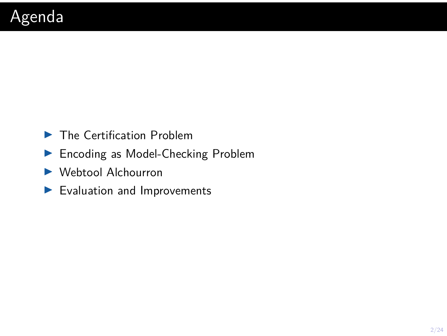- $\blacktriangleright$  The Certification Problem
- ▶ Encoding as Model-Checking Problem
- $\blacktriangleright$  Webtool Alchourron
- $\blacktriangleright$  Evaluation and Improvements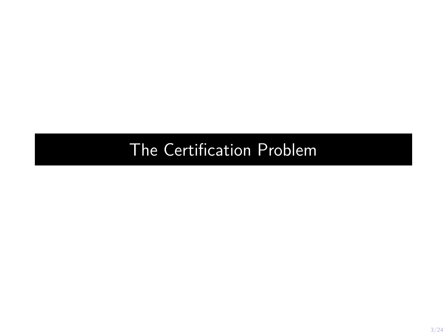# <span id="page-2-0"></span>[The Certification Problem](#page-2-0)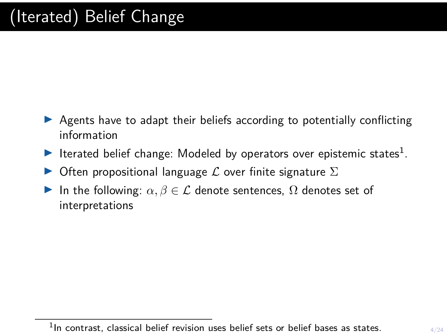- $\triangleright$  Agents have to adapt their beliefs according to potentially conflicting information
- Iterated belief change: Modeled by operators over epistemic states<sup>1</sup>.
- $\triangleright$  Often propositional language  $\mathcal L$  over finite signature  $\Sigma$
- In the following:  $\alpha, \beta \in \mathcal{L}$  denote sentences,  $\Omega$  denotes set of interpretations

<sup>&</sup>lt;sup>1</sup>In contrast, classical belief revision uses belief sets or belief bases as states.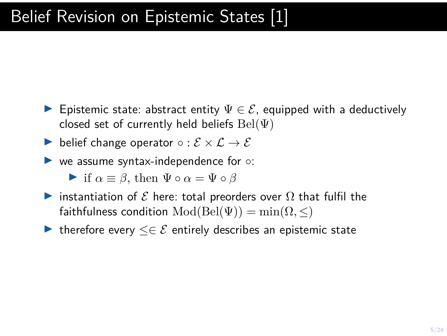- **E** Epistemic state: abstract entity  $\Psi \in \mathcal{E}$ , equipped with a deductively closed set of currently held beliefs  $Bel(\Psi)$
- belief change operator  $\circ : \mathcal{E} \times \mathcal{L} \rightarrow \mathcal{E}$
- $\triangleright$  we assume syntax-independence for  $\circ$ :

• if 
$$
\alpha \equiv \beta
$$
, then  $\Psi \circ \alpha = \Psi \circ \beta$ 

- instantiation of  $\mathcal E$  here: total preorders over  $\Omega$  that fulfil the faithfulness condition  $Mod(Bel(\Psi)) = min(\Omega, \leq)$
- $\triangleright$  therefore every  $\leq \in \mathcal{E}$  entirely describes an epistemic state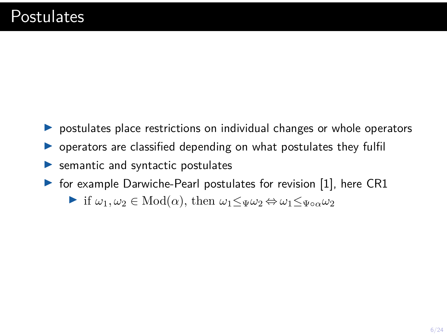- $\triangleright$  postulates place restrictions on individual changes or whole operators
- $\triangleright$  operators are classified depending on what postulates they fulfil
- $\blacktriangleright$  semantic and syntactic postulates
- $\triangleright$  for example Darwiche-Pearl postulates for revision [\[1\]](#page-23-0), here CR1
	- $\triangleright$  if *ω*<sub>1</sub>*, ω*<sub>2</sub> ∈ Mod(*α*), then *ω*<sub>1</sub> ≤<sub>Ψ</sub>*ω*<sub>2</sub> ⇔ *ω*<sub>1</sub> ≤<sub>Ψ</sub><sub>*αω*<sup>2</sup><sub>2</sub></sub>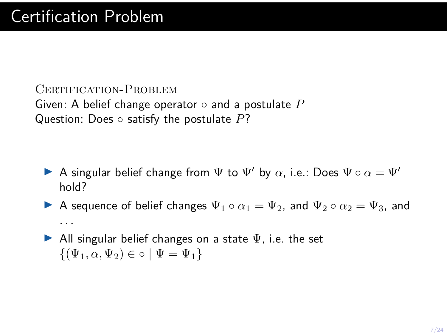CERTIFICATION-PROBLEM Given: A belief change operator ◦ and a postulate *P* Question: Does ◦ satisfy the postulate *P*?

- **►** A singular belief change from  $\Psi$  to  $\Psi'$  by *α*, i.e.: Does  $\Psi \circ \alpha = \Psi'$ hold?
- A sequence of belief changes  $\Psi_1 \circ \alpha_1 = \Psi_2$ , and  $\Psi_2 \circ \alpha_2 = \Psi_3$ , and *. . .*
- All singular belief changes on a state  $\Psi$ , i.e. the set  $\{(\Psi_1, \alpha, \Psi_2) \in \circ \mid \Psi = \Psi_1\}$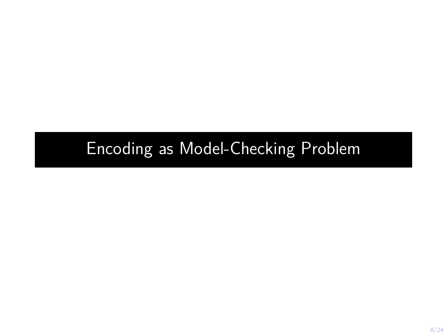### <span id="page-7-0"></span>[Encoding as Model-Checking Problem](#page-7-0)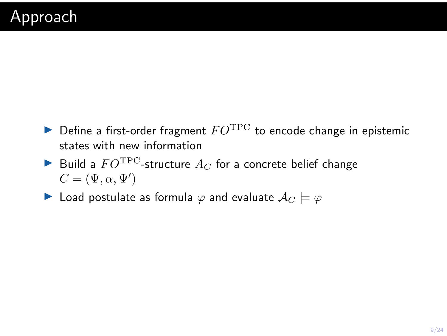- $\triangleright$  Define a first-order fragment  $FO^{\text{TPC}}$  to encode change in epistemic states with new information
- $\blacktriangleright$  Build a  $FO^{\text{TPC}}$ -structure  $A_C$  for a concrete belief change  $C = (\Psi, \alpha, \Psi')$
- **►** Load postulate as formula  $\varphi$  and evaluate  $\mathcal{A}_C \models \varphi$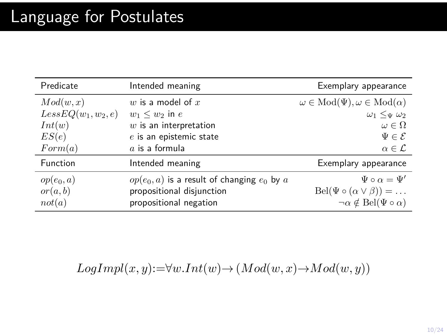| Predicate             | Intended meaning                                | Exemplary appearance                               |
|-----------------------|-------------------------------------------------|----------------------------------------------------|
| Mod(w, x)             | w is a model of $x$                             | $\omega \in Mod(\Psi), \omega \in Mod(\alpha)$     |
| $LessEQ(w_1, w_2, e)$ | $w_1 \leq w_2$ in e                             | $\omega_1 \leq_{\Psi} \omega_2$                    |
| Int(w)                | $w$ is an interpretation                        | $\omega \in \Omega$                                |
| ES(e)                 | $e$ is an epistemic state                       | $\Psi \in \mathcal{E}$                             |
| Form(a)               | $a$ is a formula                                | $\alpha \in \mathcal{L}$                           |
| Function              | Intended meaning                                | Exemplary appearance                               |
| $op(e_0, a)$          | $op(e_0, a)$ is a result of changing $e_0$ by a | $\Psi \circ \alpha = \Psi'$                        |
| or(a, b)              | propositional disjunction                       | $Bel(\Psi \circ (\alpha \vee \beta)) = \dots$      |
| not(a)                | propositional negation                          | $\neg \alpha \notin \text{Bel}(\Psi \circ \alpha)$ |

 $LogImpl(x, y) := \forall w. Int(w) \rightarrow (Mod(w, x) \rightarrow Mod(w, y))$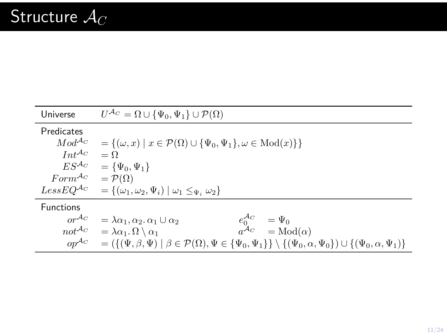| Universe                           | $U^{\mathcal{A}_C} = \Omega \cup {\Psi_0, \Psi_1} \cup \mathcal{P}(\Omega)$                                                                                                                                                            |  |  |
|------------------------------------|----------------------------------------------------------------------------------------------------------------------------------------------------------------------------------------------------------------------------------------|--|--|
| Predicates                         |                                                                                                                                                                                                                                        |  |  |
| $Mod^{Ac}$                         | = $\{(\omega, x) \mid x \in \mathcal{P}(\Omega) \cup \{\Psi_0, \Psi_1\}, \omega \in \text{Mod}(x)\}\$                                                                                                                                  |  |  |
| $Int^{A_C}$                        | $=$ $\Omega$                                                                                                                                                                                                                           |  |  |
| $ES^{\mathcal{A}_C}$               | $= {\Psi_0, \Psi_1}$                                                                                                                                                                                                                   |  |  |
| $Form^{A_C} = \mathcal{P}(\Omega)$ |                                                                                                                                                                                                                                        |  |  |
|                                    | Less $EQ^{\mathcal{A}_C} = \{(\omega_1, \omega_2, \Psi_i) \mid \omega_1 \leq \Psi_i \omega_2\}$                                                                                                                                        |  |  |
| <b>Functions</b>                   |                                                                                                                                                                                                                                        |  |  |
| $or^{\mathcal{A}_C}$               | $e_0^{\mathcal{A}_C}$<br>$=\Psi_0$<br>$=\lambda \alpha_1, \alpha_2, \alpha_1 \cup \alpha_2$                                                                                                                                            |  |  |
| $not^{A_C}$                        | $a^{\mathcal{A}_C} = \text{Mod}(\alpha)$<br>$= \lambda \alpha_1 \cdot \Omega \setminus \alpha_1$                                                                                                                                       |  |  |
| $op^{\mathcal{A}_C}$               | $= \left( \left\{ (\Psi, \beta, \Psi) \mid \beta \in \mathcal{P}(\Omega), \Psi \in \left\{ \Psi_0, \Psi_1 \right\} \right\} \setminus \left\{ (\Psi_0, \alpha, \Psi_0 \right\} \right) \cup \left\{ (\Psi_0, \alpha, \Psi_1) \right\}$ |  |  |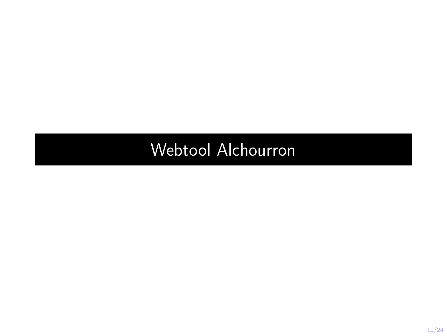# <span id="page-11-0"></span>[Webtool Alchourron](#page-11-0)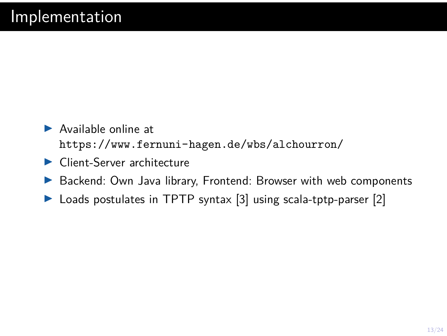- $\blacktriangleright$  Available online at <https://www.fernuni-hagen.de/wbs/alchourron/>
- $\blacktriangleright$  Client-Server architecture
- $\triangleright$  Backend: Own Java library, Frontend: Browser with web components
- $\triangleright$  Loads postulates in TPTP syntax [\[3\]](#page-23-1) using scala-tptp-parser [\[2\]](#page-23-2)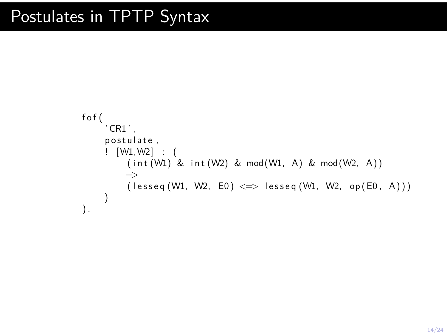```
f o f (
     'CR1 ' ,
     postulate,
     ! [W1,W2] : (
           (int (W1) &; int (W2) &; mod(W1, A) &; mod(W2, A))\Rightarrow( \text{less eq } (W1, W2, E0) \iff \text{less eq } (W1, W2, \text{ op } (E0, A))))
).
```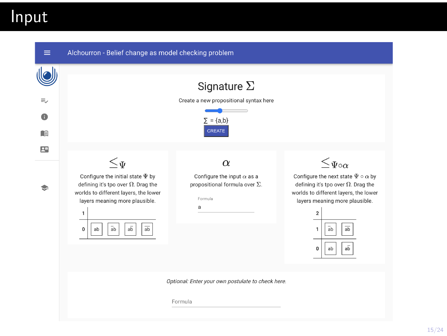Input

| $\equiv$       | Alchourron - Belief change as model checking problem                                                                                                                                                                                                         |                                                                                                        |                                                                                                                                                                                                                                                                                             |  |  |
|----------------|--------------------------------------------------------------------------------------------------------------------------------------------------------------------------------------------------------------------------------------------------------------|--------------------------------------------------------------------------------------------------------|---------------------------------------------------------------------------------------------------------------------------------------------------------------------------------------------------------------------------------------------------------------------------------------------|--|--|
| ₹<br>na        |                                                                                                                                                                                                                                                              | Signature $\Sigma$<br>Create a new propositional syntax here<br>$\Sigma = \{a,b\}$<br>CREATE           |                                                                                                                                                                                                                                                                                             |  |  |
| P <sup>o</sup> | $\leq_\Psi$<br>Configure the initial state $\Psi$ by<br>defining it's tpo over $\Omega$ . Drag the<br>worlds to different layers, the lower<br>layers meaning more plausible.<br>1<br>$a\overline{b}$<br>$\bar{a}b$<br>$\overline{ab}$<br>$\mathbf{0}$<br>ab | $\alpha$<br>Configure the input $\alpha$ as a<br>propositional formula over $\Sigma$ .<br>Formula<br>a | $\leq \Psi \circ \alpha$<br>Configure the next state $\Psi \circ \alpha$ by<br>defining it's tpo over $\Omega$ . Drag the<br>worlds to different layers, the lower<br>layers meaning more plausible.<br>$\overline{\mathbf{2}}$<br>$\overline{ab}$<br>1<br>ab<br>$a\overline{b}$<br>0<br>ab |  |  |
|                |                                                                                                                                                                                                                                                              | Optional: Enter your own postulate to check here.<br>Formula                                           |                                                                                                                                                                                                                                                                                             |  |  |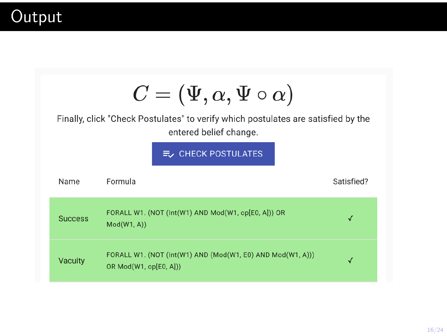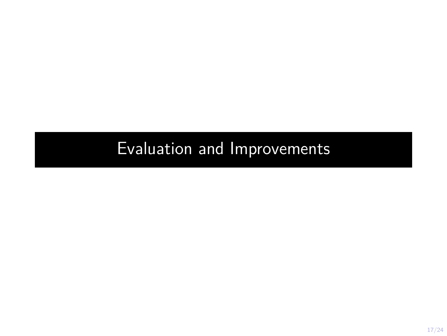# <span id="page-16-0"></span>[Evaluation and Improvements](#page-16-0)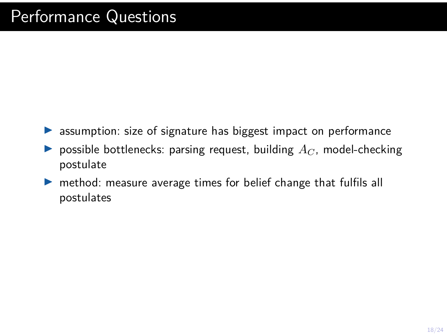- $\triangleright$  assumption: size of signature has biggest impact on performance
- $\blacktriangleright$  possible bottlenecks: parsing request, building  $A_C$ , model-checking postulate
- $\triangleright$  method: measure average times for belief change that fulfils all postulates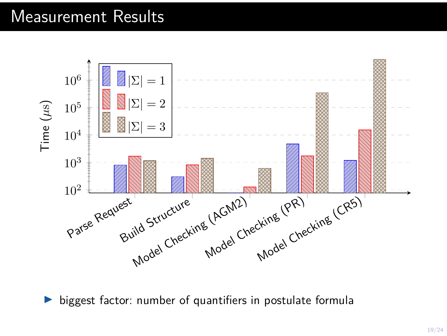#### Measurement Results



biggest factor: number of quantifiers in postulate formula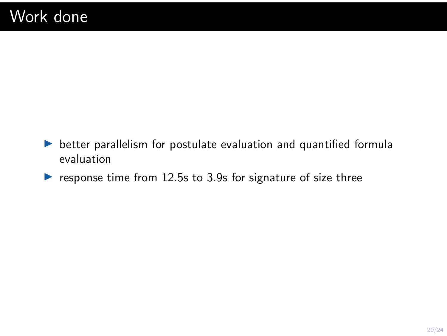- $\blacktriangleright$  better parallelism for postulate evaluation and quantified formula evaluation
- $\blacktriangleright$  response time from 12.5s to 3.9s for signature of size three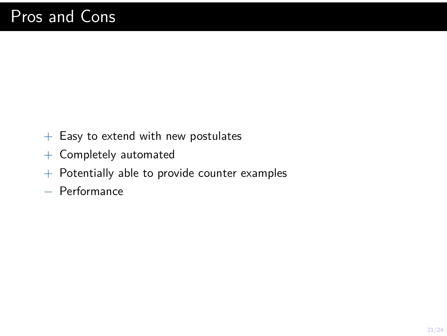- $+$  Easy to extend with new postulates
- + Completely automated
- $+$  Potentially able to provide counter examples
- − Performance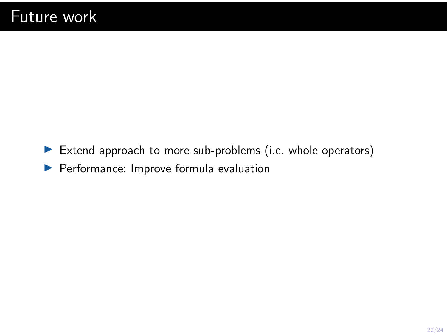$\blacktriangleright$  Extend approach to more sub-problems (i.e. whole operators)  $\blacktriangleright$  Performance: Improve formula evaluation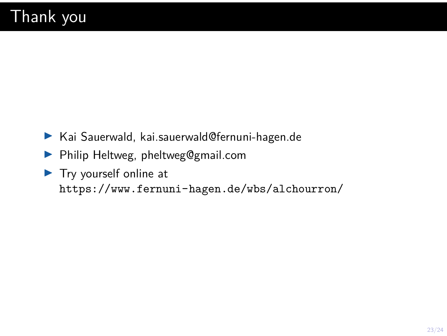- $\blacktriangleright$  Kai Sauerwald, kai.sauerwald@fernuni-hagen.de
- **Philip Heltweg, pheltweg@gmail.com**
- $\blacktriangleright$  Try yourself online at <https://www.fernuni-hagen.de/wbs/alchourron/>